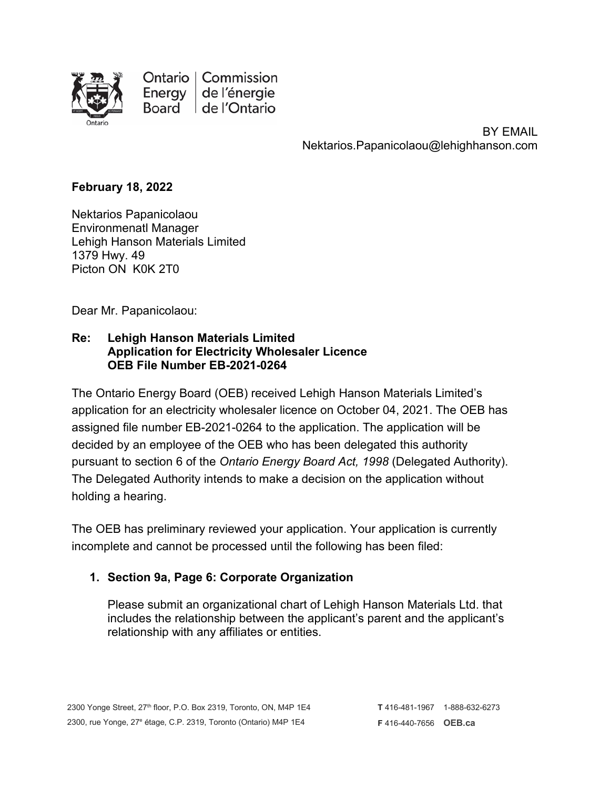

Ontario | Commission Energy | de l'énergie Board | de l'Ontario

> BY EMAIL Nektarios.Papanicolaou@lehighhanson.com

## **February 18, 2022**

Nektarios Papanicolaou Environmenatl Manager Lehigh Hanson Materials Limited 1379 Hwy. 49 Picton ON K0K 2T0

Dear Mr. Papanicolaou:

## **Re: Lehigh Hanson Materials Limited Application for Electricity Wholesaler Licence OEB File Number EB-2021-0264**

The Ontario Energy Board (OEB) received Lehigh Hanson Materials Limited's application for an electricity wholesaler licence on October 04, 2021. The OEB has assigned file number EB-2021-0264 to the application. The application will be decided by an employee of the OEB who has been delegated this authority pursuant to section 6 of the *Ontario Energy Board Act, 1998* (Delegated Authority). The Delegated Authority intends to make a decision on the application without holding a hearing.

The OEB has preliminary reviewed your application. Your application is currently incomplete and cannot be processed until the following has been filed:

## **1. Section 9a, Page 6: Corporate Organization**

Please submit an organizational chart of Lehigh Hanson Materials Ltd. that includes the relationship between the applicant's parent and the applicant's relationship with any affiliates or entities.